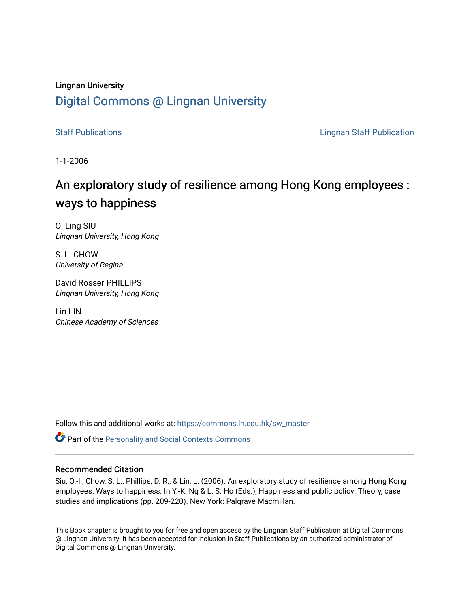# Lingnan University [Digital Commons @ Lingnan University](https://commons.ln.edu.hk/)

[Staff Publications](https://commons.ln.edu.hk/sw_master) **Staff Publications Lingnan Staff Publication** 

1-1-2006

# An exploratory study of resilience among Hong Kong employees : ways to happiness

Oi Ling SIU Lingnan University, Hong Kong

S. L. CHOW University of Regina

David Rosser PHILLIPS Lingnan University, Hong Kong

Lin LIN Chinese Academy of Sciences

Follow this and additional works at: [https://commons.ln.edu.hk/sw\\_master](https://commons.ln.edu.hk/sw_master?utm_source=commons.ln.edu.hk%2Fsw_master%2F4076&utm_medium=PDF&utm_campaign=PDFCoverPages) 

Part of the [Personality and Social Contexts Commons](http://network.bepress.com/hgg/discipline/413?utm_source=commons.ln.edu.hk%2Fsw_master%2F4076&utm_medium=PDF&utm_campaign=PDFCoverPages)

#### Recommended Citation

Siu, O.-l., Chow, S. L., Phillips, D. R., & Lin, L. (2006). An exploratory study of resilience among Hong Kong employees: Ways to happiness. In Y.-K. Ng & L. S. Ho (Eds.), Happiness and public policy: Theory, case studies and implications (pp. 209-220). New York: Palgrave Macmillan.

This Book chapter is brought to you for free and open access by the Lingnan Staff Publication at Digital Commons @ Lingnan University. It has been accepted for inclusion in Staff Publications by an authorized administrator of Digital Commons @ Lingnan University.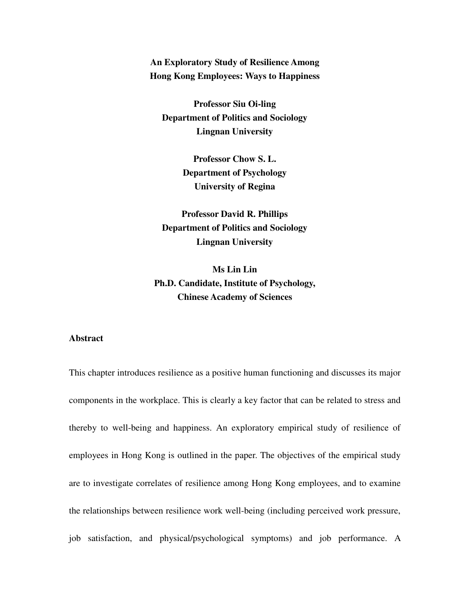**An Exploratory Study of Resilience Among Hong Kong Employees: Ways to Happiness** 

**Professor Siu Oi-ling Department of Politics and Sociology Lingnan University** 

> **Professor Chow S. L. Department of Psychology University of Regina**

**Professor David R. Phillips Department of Politics and Sociology Lingnan University** 

**Ms Lin Lin Ph.D. Candidate, Institute of Psychology, Chinese Academy of Sciences** 

#### **Abstract**

This chapter introduces resilience as a positive human functioning and discusses its major components in the workplace. This is clearly a key factor that can be related to stress and thereby to well-being and happiness. An exploratory empirical study of resilience of employees in Hong Kong is outlined in the paper. The objectives of the empirical study are to investigate correlates of resilience among Hong Kong employees, and to examine the relationships between resilience work well-being (including perceived work pressure, job satisfaction, and physical/psychological symptoms) and job performance. A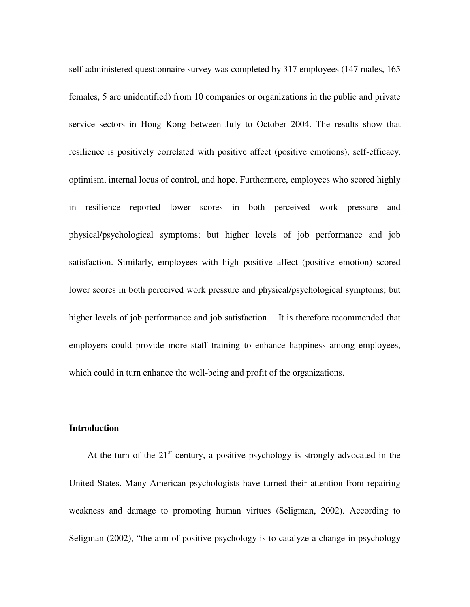self-administered questionnaire survey was completed by 317 employees (147 males, 165 females, 5 are unidentified) from 10 companies or organizations in the public and private service sectors in Hong Kong between July to October 2004. The results show that resilience is positively correlated with positive affect (positive emotions), self-efficacy, optimism, internal locus of control, and hope. Furthermore, employees who scored highly in resilience reported lower scores in both perceived work pressure and physical/psychological symptoms; but higher levels of job performance and job satisfaction. Similarly, employees with high positive affect (positive emotion) scored lower scores in both perceived work pressure and physical/psychological symptoms; but higher levels of job performance and job satisfaction. It is therefore recommended that employers could provide more staff training to enhance happiness among employees, which could in turn enhance the well-being and profit of the organizations.

#### **Introduction**

At the turn of the  $21<sup>st</sup>$  century, a positive psychology is strongly advocated in the United States. Many American psychologists have turned their attention from repairing weakness and damage to promoting human virtues (Seligman, 2002). According to Seligman (2002), "the aim of positive psychology is to catalyze a change in psychology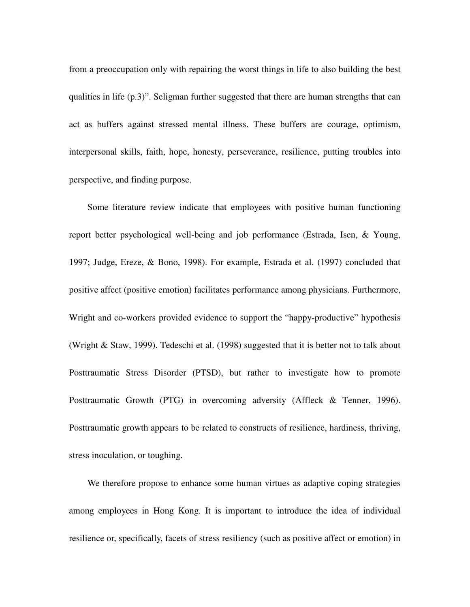from a preoccupation only with repairing the worst things in life to also building the best qualities in life (p.3)". Seligman further suggested that there are human strengths that can act as buffers against stressed mental illness. These buffers are courage, optimism, interpersonal skills, faith, hope, honesty, perseverance, resilience, putting troubles into perspective, and finding purpose.

Some literature review indicate that employees with positive human functioning report better psychological well-being and job performance (Estrada, Isen, & Young, 1997; Judge, Ereze, & Bono, 1998). For example, Estrada et al. (1997) concluded that positive affect (positive emotion) facilitates performance among physicians. Furthermore, Wright and co-workers provided evidence to support the "happy-productive" hypothesis (Wright & Staw, 1999). Tedeschi et al. (1998) suggested that it is better not to talk about Posttraumatic Stress Disorder (PTSD), but rather to investigate how to promote Posttraumatic Growth (PTG) in overcoming adversity (Affleck & Tenner, 1996). Posttraumatic growth appears to be related to constructs of resilience, hardiness, thriving, stress inoculation, or toughing.

We therefore propose to enhance some human virtues as adaptive coping strategies among employees in Hong Kong. It is important to introduce the idea of individual resilience or, specifically, facets of stress resiliency (such as positive affect or emotion) in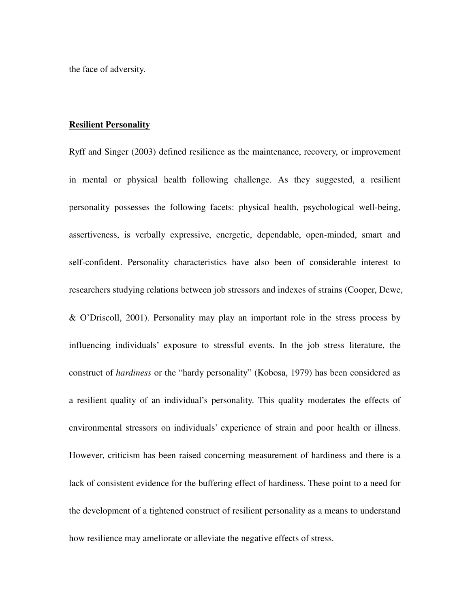the face of adversity.

#### **Resilient Personality**

Ryff and Singer (2003) defined resilience as the maintenance, recovery, or improvement in mental or physical health following challenge. As they suggested, a resilient personality possesses the following facets: physical health, psychological well-being, assertiveness, is verbally expressive, energetic, dependable, open-minded, smart and self-confident. Personality characteristics have also been of considerable interest to researchers studying relations between job stressors and indexes of strains (Cooper, Dewe, & O'Driscoll, 2001). Personality may play an important role in the stress process by influencing individuals' exposure to stressful events. In the job stress literature, the construct of *hardiness* or the "hardy personality" (Kobosa, 1979) has been considered as a resilient quality of an individual's personality. This quality moderates the effects of environmental stressors on individuals' experience of strain and poor health or illness. However, criticism has been raised concerning measurement of hardiness and there is a lack of consistent evidence for the buffering effect of hardiness. These point to a need for the development of a tightened construct of resilient personality as a means to understand how resilience may ameliorate or alleviate the negative effects of stress.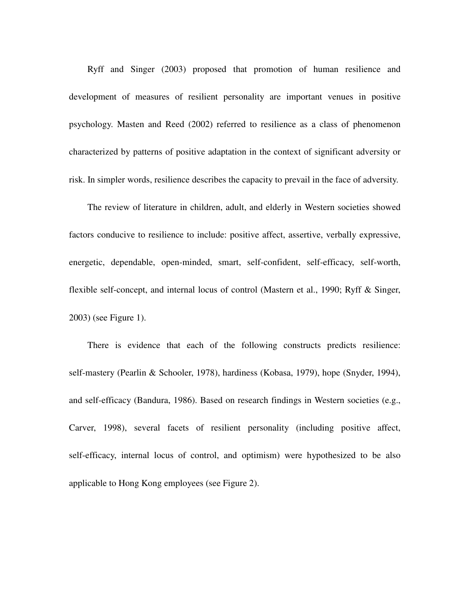Ryff and Singer (2003) proposed that promotion of human resilience and development of measures of resilient personality are important venues in positive psychology. Masten and Reed (2002) referred to resilience as a class of phenomenon characterized by patterns of positive adaptation in the context of significant adversity or risk. In simpler words, resilience describes the capacity to prevail in the face of adversity.

 The review of literature in children, adult, and elderly in Western societies showed factors conducive to resilience to include: positive affect, assertive, verbally expressive, energetic, dependable, open-minded, smart, self-confident, self-efficacy, self-worth, flexible self-concept, and internal locus of control (Mastern et al., 1990; Ryff & Singer, 2003) (see Figure 1).

There is evidence that each of the following constructs predicts resilience: self-mastery (Pearlin & Schooler, 1978), hardiness (Kobasa, 1979), hope (Snyder, 1994), and self-efficacy (Bandura, 1986). Based on research findings in Western societies (e.g., Carver, 1998), several facets of resilient personality (including positive affect, self-efficacy, internal locus of control, and optimism) were hypothesized to be also applicable to Hong Kong employees (see Figure 2).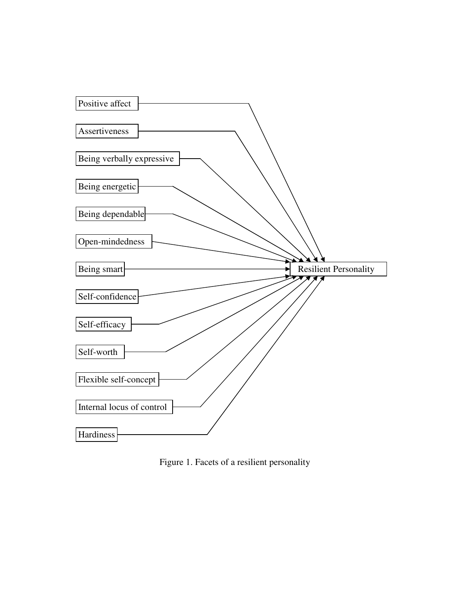

Figure 1. Facets of a resilient personality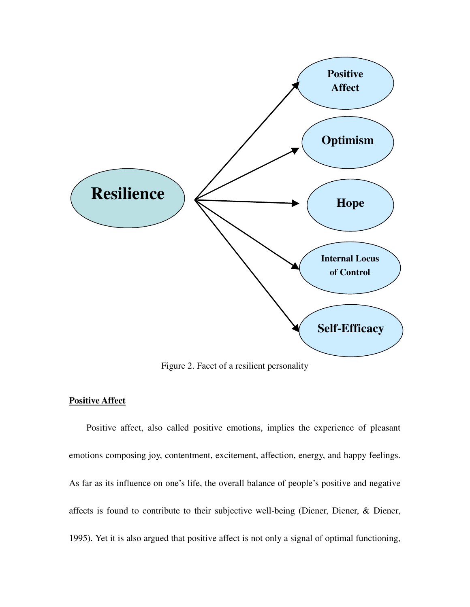

Figure 2. Facet of a resilient personality

#### **Positive Affect**

Positive affect, also called positive emotions, implies the experience of pleasant emotions composing joy, contentment, excitement, affection, energy, and happy feelings. As far as its influence on one's life, the overall balance of people's positive and negative affects is found to contribute to their subjective well-being (Diener, Diener, & Diener, 1995). Yet it is also argued that positive affect is not only a signal of optimal functioning,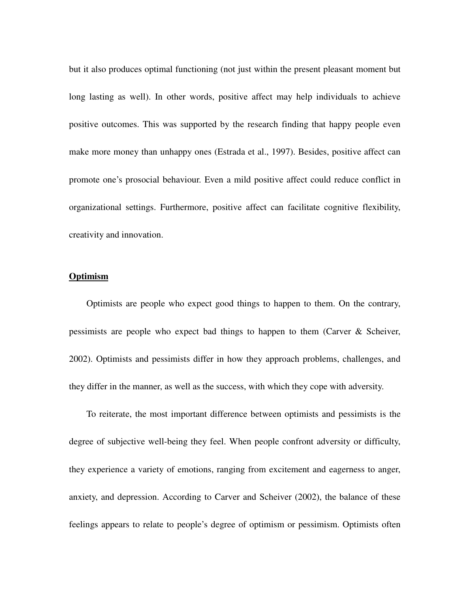but it also produces optimal functioning (not just within the present pleasant moment but long lasting as well). In other words, positive affect may help individuals to achieve positive outcomes. This was supported by the research finding that happy people even make more money than unhappy ones (Estrada et al., 1997). Besides, positive affect can promote one's prosocial behaviour. Even a mild positive affect could reduce conflict in organizational settings. Furthermore, positive affect can facilitate cognitive flexibility, creativity and innovation.

#### **Optimism**

Optimists are people who expect good things to happen to them. On the contrary, pessimists are people who expect bad things to happen to them (Carver & Scheiver, 2002). Optimists and pessimists differ in how they approach problems, challenges, and they differ in the manner, as well as the success, with which they cope with adversity.

To reiterate, the most important difference between optimists and pessimists is the degree of subjective well-being they feel. When people confront adversity or difficulty, they experience a variety of emotions, ranging from excitement and eagerness to anger, anxiety, and depression. According to Carver and Scheiver (2002), the balance of these feelings appears to relate to people's degree of optimism or pessimism. Optimists often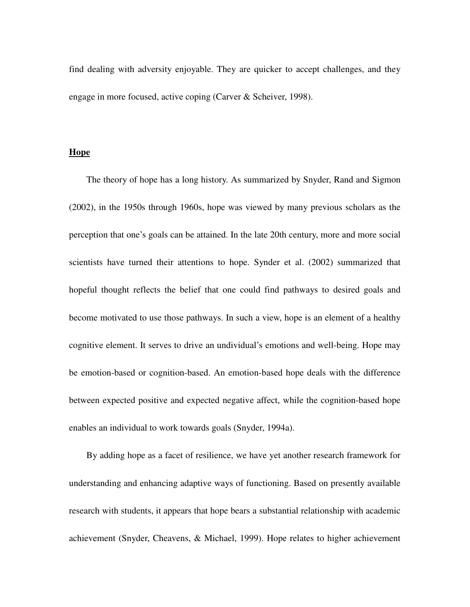find dealing with adversity enjoyable. They are quicker to accept challenges, and they engage in more focused, active coping (Carver & Scheiver, 1998).

### **Hope**

The theory of hope has a long history. As summarized by Snyder, Rand and Sigmon (2002), in the 1950s through 1960s, hope was viewed by many previous scholars as the perception that one's goals can be attained. In the late 20th century, more and more social scientists have turned their attentions to hope. Synder et al. (2002) summarized that hopeful thought reflects the belief that one could find pathways to desired goals and become motivated to use those pathways. In such a view, hope is an element of a healthy cognitive element. It serves to drive an undividual's emotions and well-being. Hope may be emotion-based or cognition-based. An emotion-based hope deals with the difference between expected positive and expected negative affect, while the cognition-based hope enables an individual to work towards goals (Snyder, 1994a).

By adding hope as a facet of resilience, we have yet another research framework for understanding and enhancing adaptive ways of functioning. Based on presently available research with students, it appears that hope bears a substantial relationship with academic achievement (Snyder, Cheavens, & Michael, 1999). Hope relates to higher achievement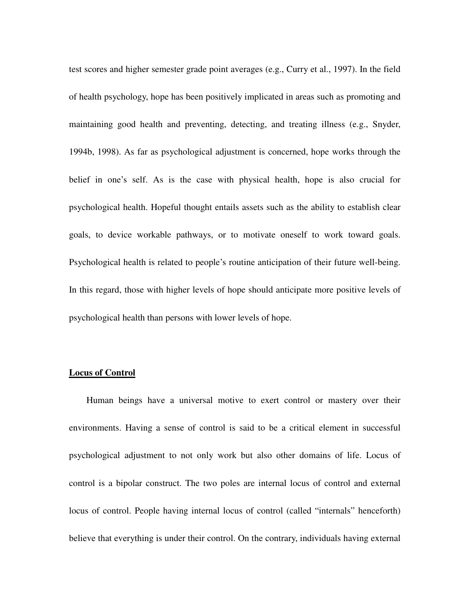test scores and higher semester grade point averages (e.g., Curry et al., 1997). In the field of health psychology, hope has been positively implicated in areas such as promoting and maintaining good health and preventing, detecting, and treating illness (e.g., Snyder, 1994b, 1998). As far as psychological adjustment is concerned, hope works through the belief in one's self. As is the case with physical health, hope is also crucial for psychological health. Hopeful thought entails assets such as the ability to establish clear goals, to device workable pathways, or to motivate oneself to work toward goals. Psychological health is related to people's routine anticipation of their future well-being. In this regard, those with higher levels of hope should anticipate more positive levels of psychological health than persons with lower levels of hope.

#### **Locus of Control**

Human beings have a universal motive to exert control or mastery over their environments. Having a sense of control is said to be a critical element in successful psychological adjustment to not only work but also other domains of life. Locus of control is a bipolar construct. The two poles are internal locus of control and external locus of control. People having internal locus of control (called "internals" henceforth) believe that everything is under their control. On the contrary, individuals having external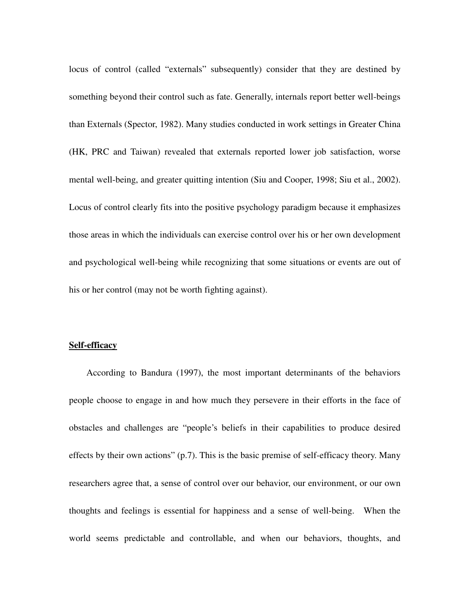locus of control (called "externals" subsequently) consider that they are destined by something beyond their control such as fate. Generally, internals report better well-beings than Externals (Spector, 1982). Many studies conducted in work settings in Greater China (HK, PRC and Taiwan) revealed that externals reported lower job satisfaction, worse mental well-being, and greater quitting intention (Siu and Cooper, 1998; Siu et al., 2002). Locus of control clearly fits into the positive psychology paradigm because it emphasizes those areas in which the individuals can exercise control over his or her own development and psychological well-being while recognizing that some situations or events are out of his or her control (may not be worth fighting against).

#### **Self-efficacy**

According to Bandura (1997), the most important determinants of the behaviors people choose to engage in and how much they persevere in their efforts in the face of obstacles and challenges are "people's beliefs in their capabilities to produce desired effects by their own actions" (p.7). This is the basic premise of self-efficacy theory. Many researchers agree that, a sense of control over our behavior, our environment, or our own thoughts and feelings is essential for happiness and a sense of well-being. When the world seems predictable and controllable, and when our behaviors, thoughts, and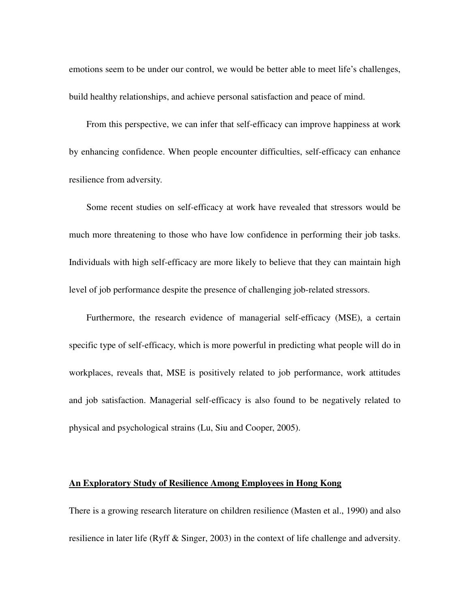emotions seem to be under our control, we would be better able to meet life's challenges, build healthy relationships, and achieve personal satisfaction and peace of mind.

From this perspective, we can infer that self-efficacy can improve happiness at work by enhancing confidence. When people encounter difficulties, self-efficacy can enhance resilience from adversity.

Some recent studies on self-efficacy at work have revealed that stressors would be much more threatening to those who have low confidence in performing their job tasks. Individuals with high self-efficacy are more likely to believe that they can maintain high level of job performance despite the presence of challenging job-related stressors.

Furthermore, the research evidence of managerial self-efficacy (MSE), a certain specific type of self-efficacy, which is more powerful in predicting what people will do in workplaces, reveals that, MSE is positively related to job performance, work attitudes and job satisfaction. Managerial self-efficacy is also found to be negatively related to physical and psychological strains (Lu, Siu and Cooper, 2005).

#### **An Exploratory Study of Resilience Among Employees in Hong Kong**

There is a growing research literature on children resilience (Masten et al., 1990) and also resilience in later life (Ryff & Singer, 2003) in the context of life challenge and adversity.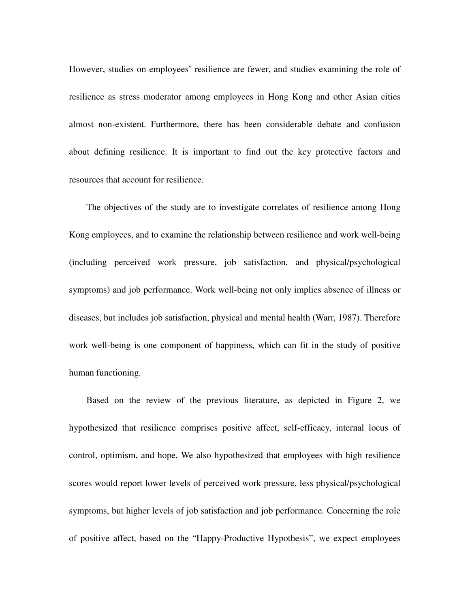However, studies on employees' resilience are fewer, and studies examining the role of resilience as stress moderator among employees in Hong Kong and other Asian cities almost non-existent. Furthermore, there has been considerable debate and confusion about defining resilience. It is important to find out the key protective factors and resources that account for resilience.

The objectives of the study are to investigate correlates of resilience among Hong Kong employees, and to examine the relationship between resilience and work well-being (including perceived work pressure, job satisfaction, and physical/psychological symptoms) and job performance. Work well-being not only implies absence of illness or diseases, but includes job satisfaction, physical and mental health (Warr, 1987). Therefore work well-being is one component of happiness, which can fit in the study of positive human functioning.

Based on the review of the previous literature, as depicted in Figure 2, we hypothesized that resilience comprises positive affect, self-efficacy, internal locus of control, optimism, and hope. We also hypothesized that employees with high resilience scores would report lower levels of perceived work pressure, less physical/psychological symptoms, but higher levels of job satisfaction and job performance. Concerning the role of positive affect, based on the "Happy-Productive Hypothesis", we expect employees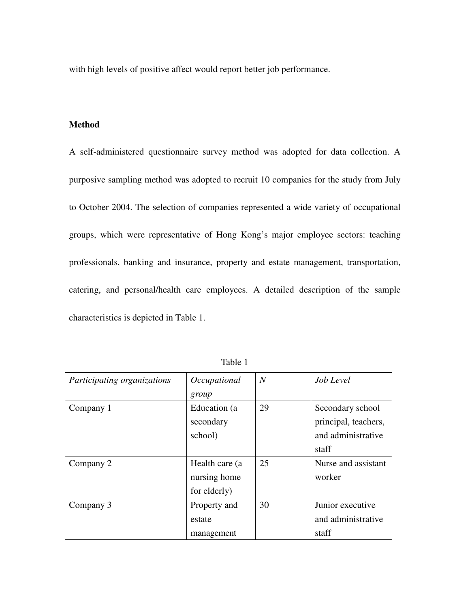with high levels of positive affect would report better job performance.

# **Method**

A self-administered questionnaire survey method was adopted for data collection. A purposive sampling method was adopted to recruit 10 companies for the study from July to October 2004. The selection of companies represented a wide variety of occupational groups, which were representative of Hong Kong's major employee sectors: teaching professionals, banking and insurance, property and estate management, transportation, catering, and personal/health care employees. A detailed description of the sample characteristics is depicted in Table 1.

| Participating organizations | Occupational    | $\overline{N}$ | Job Level            |  |  |
|-----------------------------|-----------------|----------------|----------------------|--|--|
|                             | group           |                |                      |  |  |
| Company 1                   | Education (a    | 29             | Secondary school     |  |  |
|                             | secondary       |                | principal, teachers, |  |  |
|                             | school)         |                | and administrative   |  |  |
|                             |                 |                | staff                |  |  |
| Company 2                   | Health care (a) | 25             | Nurse and assistant  |  |  |
|                             | nursing home    |                | worker               |  |  |
|                             | for elderly)    |                |                      |  |  |
| Company 3                   | Property and    | 30             | Junior executive     |  |  |
|                             | estate          |                | and administrative   |  |  |
|                             | management      |                | staff                |  |  |

Table 1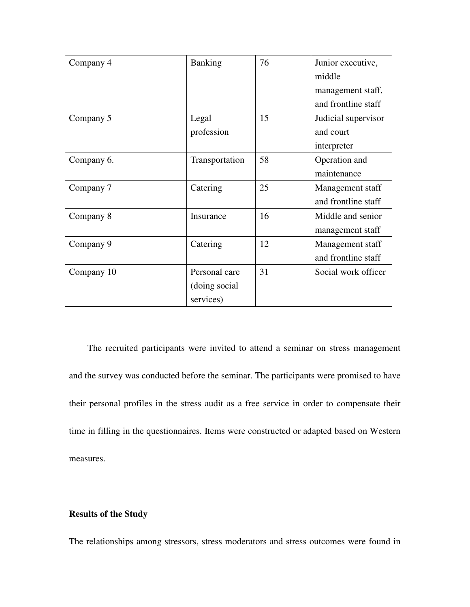| Company 4  | <b>Banking</b> | 76 | Junior executive,   |  |  |
|------------|----------------|----|---------------------|--|--|
|            |                |    | middle              |  |  |
|            |                |    | management staff,   |  |  |
|            |                |    | and frontline staff |  |  |
| Company 5  | Legal          | 15 | Judicial supervisor |  |  |
|            | profession     |    | and court           |  |  |
|            |                |    | interpreter         |  |  |
| Company 6. | Transportation | 58 | Operation and       |  |  |
|            |                |    | maintenance         |  |  |
| Company 7  | Catering       | 25 | Management staff    |  |  |
|            |                |    | and frontline staff |  |  |
| Company 8  | Insurance      | 16 | Middle and senior   |  |  |
|            |                |    | management staff    |  |  |
| Company 9  | Catering       | 12 | Management staff    |  |  |
|            |                |    | and frontline staff |  |  |
| Company 10 | Personal care  | 31 | Social work officer |  |  |
|            | (doing social) |    |                     |  |  |
|            | services)      |    |                     |  |  |

The recruited participants were invited to attend a seminar on stress management and the survey was conducted before the seminar. The participants were promised to have their personal profiles in the stress audit as a free service in order to compensate their time in filling in the questionnaires. Items were constructed or adapted based on Western measures.

## **Results of the Study**

The relationships among stressors, stress moderators and stress outcomes were found in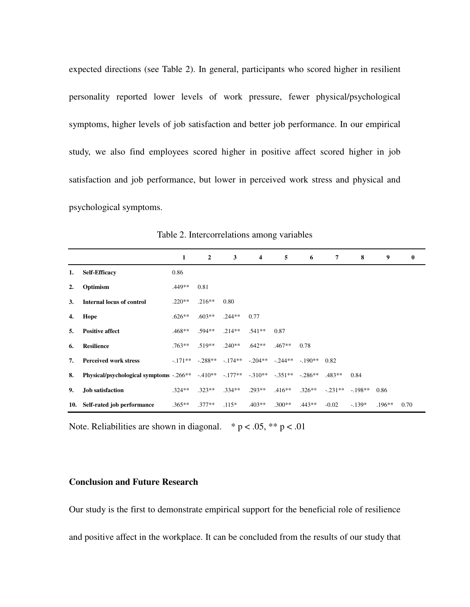expected directions (see Table 2). In general, participants who scored higher in resilient personality reported lower levels of work pressure, fewer physical/psychological symptoms, higher levels of job satisfaction and better job performance. In our empirical study, we also find employees scored higher in positive affect scored higher in job satisfaction and job performance, but lower in perceived work stress and physical and psychological symptoms.

|                |                                                                                 | 1        | $\overline{2}$           | 3        | $\overline{\mathbf{4}}$ | 5                 | 6        | 7         | 8        | 9        | $\bf{0}$ |
|----------------|---------------------------------------------------------------------------------|----------|--------------------------|----------|-------------------------|-------------------|----------|-----------|----------|----------|----------|
| 1.             | <b>Self-Efficacy</b>                                                            | 0.86     |                          |          |                         |                   |          |           |          |          |          |
| $\overline{2}$ | Optimism                                                                        | .449**   | 0.81                     |          |                         |                   |          |           |          |          |          |
| 3.             | <b>Internal locus of control</b>                                                | $.220**$ | $.216**$                 | 0.80     |                         |                   |          |           |          |          |          |
| 4.             | Hope                                                                            | $.626**$ | $.603**$                 | $.244**$ | 0.77                    |                   |          |           |          |          |          |
| 5.             | <b>Positive affect</b>                                                          | $.468**$ | $.594**$                 | $.214**$ | $.541**$                | 0.87              |          |           |          |          |          |
| 6.             | <b>Resilience</b>                                                               | $.763**$ | $.519**$                 | $.240**$ | $.642**$                | $.467**$          | 0.78     |           |          |          |          |
| 7.             | <b>Perceived work stress</b>                                                    |          | $-171** - 288** - 174**$ |          |                         | $-204**$ $-244**$ | $-190**$ | 0.82      |          |          |          |
| 8.             | Physical/psychological symptoms -.266** -.410** -.177** -.310** -.351** -.286** |          |                          |          |                         |                   |          | $.483**$  | 0.84     |          |          |
| 9.             | Job satisfaction                                                                | $.324**$ | $.323**$                 | $.334**$ | $.293**$                | $.416**$          | $.326**$ | $-.231**$ | $-198**$ | 0.86     |          |
|                | 10. Self-rated job performance                                                  | $.365**$ | $.377**$                 | $.115*$  | $.403**$                | $.300**$          | $.443**$ | $-0.02$   | $-139*$  | $.196**$ | 0.70     |

Table 2. Intercorrelations among variables

Note. Reliabilities are shown in diagonal.  $* p < .05, ** p < .01$ 

# **Conclusion and Future Research**

Our study is the first to demonstrate empirical support for the beneficial role of resilience and positive affect in the workplace. It can be concluded from the results of our study that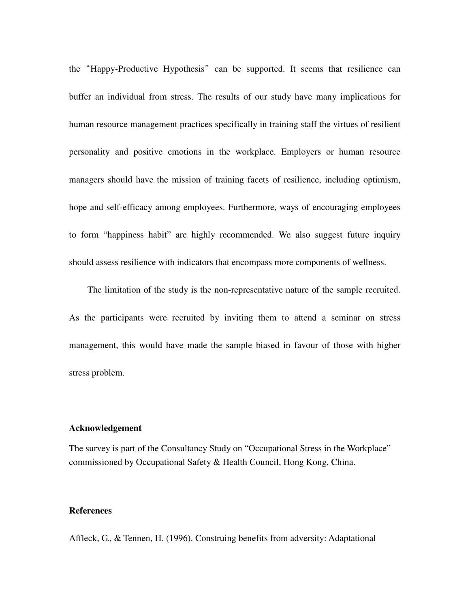the "Happy-Productive Hypothesis" can be supported. It seems that resilience can buffer an individual from stress. The results of our study have many implications for human resource management practices specifically in training staff the virtues of resilient personality and positive emotions in the workplace. Employers or human resource managers should have the mission of training facets of resilience, including optimism, hope and self-efficacy among employees. Furthermore, ways of encouraging employees to form "happiness habit" are highly recommended. We also suggest future inquiry should assess resilience with indicators that encompass more components of wellness.

The limitation of the study is the non-representative nature of the sample recruited. As the participants were recruited by inviting them to attend a seminar on stress management, this would have made the sample biased in favour of those with higher stress problem.

#### **Acknowledgement**

The survey is part of the Consultancy Study on "Occupational Stress in the Workplace" commissioned by Occupational Safety & Health Council, Hong Kong, China.

# **References**

Affleck, G., & Tennen, H. (1996). Construing benefits from adversity: Adaptational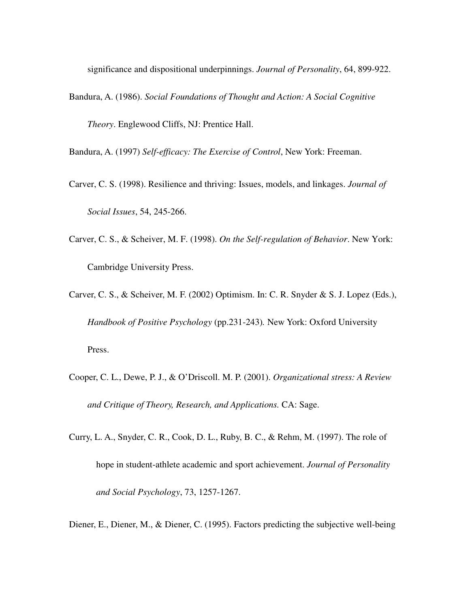significance and dispositional underpinnings. *Journal of Personality*, 64, 899-922.

Bandura, A. (1986). *Social Foundations of Thought and Action: A Social Cognitive Theory*. Englewood Cliffs, NJ: Prentice Hall.

Bandura, A. (1997) *Self-efficacy: The Exercise of Control*, New York: Freeman.

Carver, C. S. (1998). Resilience and thriving: Issues, models, and linkages. *Journal of Social Issues*, 54, 245-266.

Carver, C. S., & Scheiver, M. F. (1998). *On the Self-regulation of Behavior*. New York: Cambridge University Press.

Carver, C. S., & Scheiver, M. F. (2002) Optimism. In: C. R. Snyder & S. J. Lopez (Eds.), *Handbook of Positive Psychology* (pp.231-243)*.* New York: Oxford University Press.

- Cooper, C. L., Dewe, P. J., & O'Driscoll. M. P. (2001). *Organizational stress: A Review and Critique of Theory, Research, and Applications.* CA: Sage.
- Curry, L. A., Snyder, C. R., Cook, D. L., Ruby, B. C., & Rehm, M. (1997). The role of hope in student-athlete academic and sport achievement. *Journal of Personality and Social Psychology*, 73, 1257-1267.
- Diener, E., Diener, M., & Diener, C. (1995). Factors predicting the subjective well-being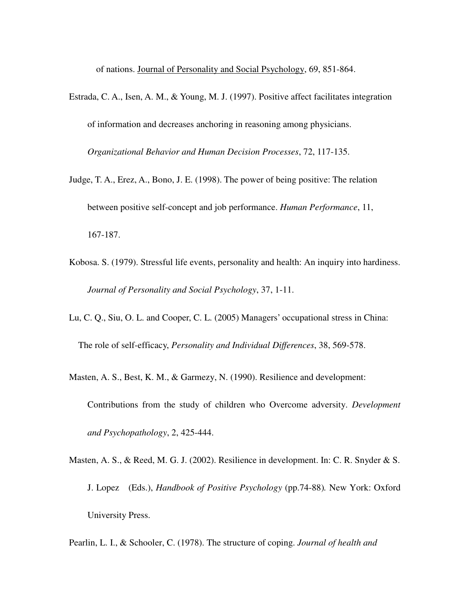of nations. Journal of Personality and Social Psychology, 69, 851-864.

Estrada, C. A., Isen, A. M., & Young, M. J. (1997). Positive affect facilitates integration of information and decreases anchoring in reasoning among physicians.

*Organizational Behavior and Human Decision Processes*, 72, 117-135.

- Judge, T. A., Erez, A., Bono, J. E. (1998). The power of being positive: The relation between positive self-concept and job performance. *Human Performance*, 11, 167-187.
- Kobosa. S. (1979). Stressful life events, personality and health: An inquiry into hardiness. *Journal of Personality and Social Psychology*, 37, 1-11.
- Lu, C. Q., Siu, O. L. and Cooper, C. L. (2005) Managers' occupational stress in China:

The role of self-efficacy, *Personality and Individual Differences*, 38, 569-578.

- Masten, A. S., Best, K. M., & Garmezy, N. (1990). Resilience and development: Contributions from the study of children who Overcome adversity. *Development and Psychopathology*, 2, 425-444.
- Masten, A. S., & Reed, M. G. J. (2002). Resilience in development. In: C. R. Snyder & S. J. Lopez (Eds.), *Handbook of Positive Psychology* (pp.74-88)*.* New York: Oxford University Press.
- Pearlin, L. I., & Schooler, C. (1978). The structure of coping. *Journal of health and*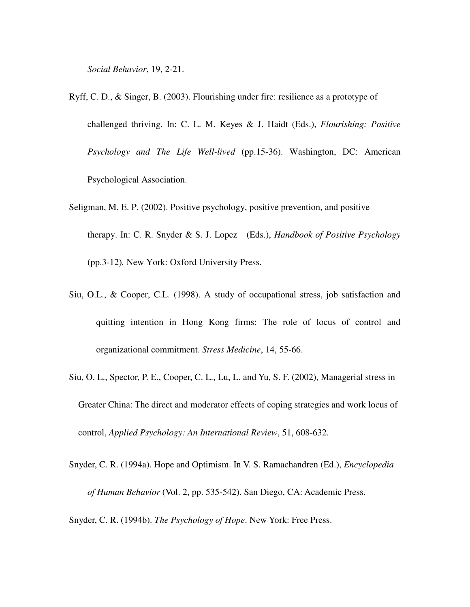*Social Behavior*, 19, 2-21.

- Ryff, C. D., & Singer, B. (2003). Flourishing under fire: resilience as a prototype of challenged thriving. In: C. L. M. Keyes & J. Haidt (Eds.), *Flourishing: Positive Psychology and The Life Well-lived* (pp.15-36). Washington, DC: American Psychological Association.
- Seligman, M. E. P. (2002). Positive psychology, positive prevention, and positive therapy. In: C. R. Snyder & S. J. Lopez (Eds.), *Handbook of Positive Psychology* (pp.3-12)*.* New York: Oxford University Press.
- Siu, O.L., & Cooper, C.L. (1998). A study of occupational stress, job satisfaction and quitting intention in Hong Kong firms: The role of locus of control and organizational commitment. *Stress Medicine*, 14, 55-66.
- Siu, O. L., Spector, P. E., Cooper, C. L., Lu, L. and Yu, S. F. (2002), Managerial stress in Greater China: The direct and moderator effects of coping strategies and work locus of control, *Applied Psychology: An International Review*, 51, 608-632.
- Snyder, C. R. (1994a). Hope and Optimism. In V. S. Ramachandren (Ed.), *Encyclopedia of Human Behavior* (Vol. 2, pp. 535-542). San Diego, CA: Academic Press.

Snyder, C. R. (1994b). *The Psychology of Hope*. New York: Free Press.